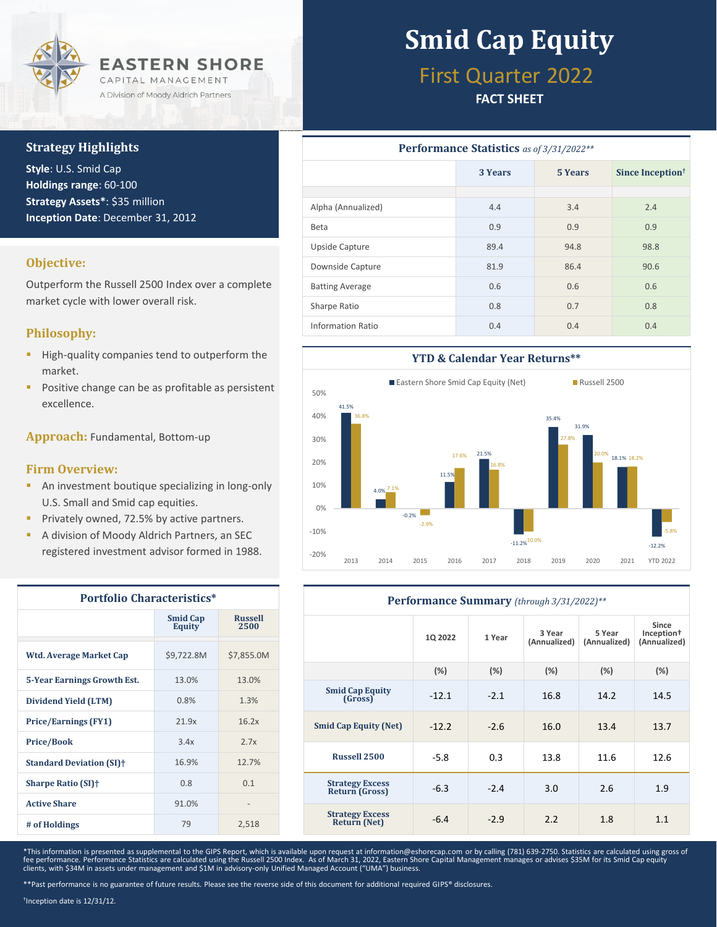

#### **Strategy Highlights**

**Style**: U.S. Smid Cap **Holdings range**: 60-100 **Strategy Assets\***: \$35 million **Inception Date**: December 31, 2012

#### **Objective:**

Outperform the Russell 2500 Index over a complete market cycle with lower overall risk.

#### **Philosophy:**

- **·** High-quality companies tend to outperform the market.
- Positive change can be as profitable as persistent excellence.

**Approach:** Fundamental, Bottom-up

#### **Firm Overview:**

- **E** An investment boutique specializing in long-only U.S. Small and Smid cap equities.
- **Privately owned, 72.5% by active partners.**
- A division of Moody Aldrich Partners, an SEC registered investment advisor formed in 1988.

| <b>Portfolio Characteristics*</b>     |                                  |                        |  |  |  |
|---------------------------------------|----------------------------------|------------------------|--|--|--|
|                                       | <b>Smid Cap</b><br><b>Equity</b> | <b>Russell</b><br>2500 |  |  |  |
| Wtd. Average Market Cap               | \$9,722.8M                       | \$7,855.0M             |  |  |  |
| <b>5-Year Earnings Growth Est.</b>    | 13.0%                            | 13.0%                  |  |  |  |
| Dividend Yield (LTM)                  | 0.8%                             | 1.3%                   |  |  |  |
| <b>Price/Earnings (FY1)</b>           | 21.9x                            | 16.2x                  |  |  |  |
| <b>Price/Book</b>                     | 3.4x                             | 2.7x                   |  |  |  |
| <b>Standard Deviation (SI)</b> †      | 16.9%                            | 12.7%                  |  |  |  |
| <b>Sharpe Ratio (SI)</b> <sup>+</sup> | 0.8                              | 0.1                    |  |  |  |
| <b>Active Share</b>                   | 91.0%                            |                        |  |  |  |
| # of Holdings                         | 79                               | 2,518                  |  |  |  |

# **Smid Cap Equity**

## First Quarter 2022

#### **FACT SHEET**

| Performance Statistics as of 3/31/2022** |         |         |                              |  |  |  |
|------------------------------------------|---------|---------|------------------------------|--|--|--|
|                                          | 3 Years | 5 Years | Since Inception <sup>†</sup> |  |  |  |
|                                          |         |         |                              |  |  |  |
| Alpha (Annualized)                       | 4.4     | 3.4     | 2.4                          |  |  |  |
| Beta                                     | 0.9     | 0.9     | 0.9                          |  |  |  |
| Upside Capture                           | 89.4    | 94.8    | 98.8                         |  |  |  |
| Downside Capture                         | 81.9    | 86.4    | 90.6                         |  |  |  |
| <b>Batting Average</b>                   | 0.6     | 0.6     | 0.6                          |  |  |  |
| Sharpe Ratio                             | 0.8     | 0.7     | 0.8                          |  |  |  |
| <b>Information Ratio</b>                 | 0.4     | 0.4     | 0.4                          |  |  |  |



| Performance Summary (through 3/31/2022)**     |         |        |                        |                        |                                                 |  |
|-----------------------------------------------|---------|--------|------------------------|------------------------|-------------------------------------------------|--|
|                                               | 1Q 2022 | 1 Year | 3 Year<br>(Annualized) | 5 Year<br>(Annualized) | Since<br>Inception <sup>+</sup><br>(Annualized) |  |
|                                               | $(\%)$  | (%)    | (%)                    | (%)                    | (%)                                             |  |
| <b>Smid Cap Equity</b><br>(Gross)             | $-12.1$ | $-2.1$ | 16.8                   | 14.2                   | 14.5                                            |  |
| <b>Smid Cap Equity (Net)</b>                  | $-12.2$ | $-2.6$ | 16.0                   | 13.4                   | 13.7                                            |  |
| <b>Russell 2500</b>                           | $-5.8$  | 0.3    | 13.8                   | 11.6                   | 12.6                                            |  |
| <b>Strategy Excess</b><br>Return (Gross)      | $-6.3$  | $-2.4$ | 3.0                    | 2.6                    | 1.9                                             |  |
| <b>Strategy Excess</b><br><b>Return (Net)</b> | $-6.4$  | $-2.9$ | 2.2                    | 1.8                    | 1.1                                             |  |

\*This information is presented as supplemental to the GIPS Report, which is available upon request at information@eshorecap.com or by calling (781) 639-2750. Statistics are calculated using gross of fee performance. Performance Statistics are calculated using the Russell 2500 Index. As of March 31, 2022, Eastern Shore Capital Management manages or advises \$35M for its Smid Cap equity<br>clients, with \$34M in assets under

\*\*Past performance is no guarantee of future results. Please see the reverse side of this document for additional required GIPS® disclosures.

† Inception date is 12/31/12.